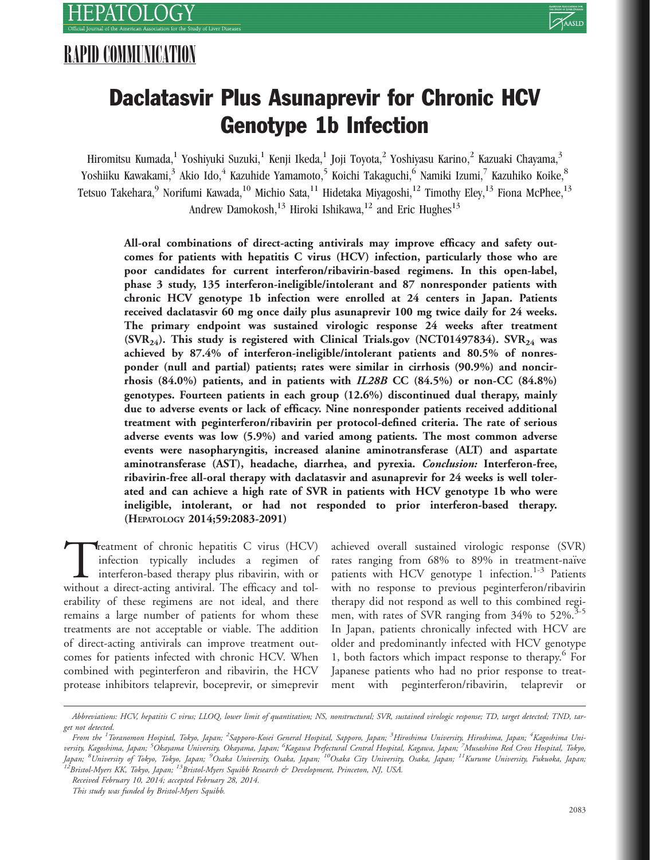

# Daclatasvir Plus Asunaprevir for Chronic HCV Genotype 1b Infection

Hiromitsu Kumada,<sup>1</sup> Yoshiyuki Suzuki,<sup>1</sup> Kenji Ikeda,<sup>1</sup> Joji Toyota,<sup>2</sup> Yoshiyasu Karino,<sup>2</sup> Kazuaki Chayama,<sup>3</sup> Yoshiiku Kawakami,<sup>3</sup> Akio Ido,<sup>4</sup> Kazuhide Yamamoto,<sup>5</sup> Koichi Takaguchi,<sup>6</sup> Namiki Izumi,<sup>7</sup> Kazuhiko Koike,<sup>8</sup> Tetsuo Takehara,<sup>9</sup> Norifumi Kawada,<sup>10</sup> Michio Sata,<sup>11</sup> Hidetaka Miyagoshi,<sup>12</sup> Timothy Eley,<sup>13</sup> Fiona McPhee,<sup>13</sup> Andrew Damokosh,<sup>13</sup> Hiroki Ishikawa,<sup>12</sup> and Eric Hughes<sup>13</sup>

All-oral combinations of direct-acting antivirals may improve efficacy and safety outcomes for patients with hepatitis C virus (HCV) infection, particularly those who are poor candidates for current interferon/ribavirin-based regimens. In this open-label, phase 3 study, 135 interferon-ineligible/intolerant and 87 nonresponder patients with chronic HCV genotype 1b infection were enrolled at 24 centers in Japan. Patients received daclatasvir 60 mg once daily plus asunaprevir 100 mg twice daily for 24 weeks. The primary endpoint was sustained virologic response 24 weeks after treatment  $(SVR<sub>24</sub>)$ . This study is registered with Clinical Trials.gov (NCT01497834). SVR<sub>24</sub> was achieved by 87.4% of interferon-ineligible/intolerant patients and 80.5% of nonresponder (null and partial) patients; rates were similar in cirrhosis (90.9%) and noncirrhosis  $(84.0\%)$  patients, and in patients with  $IL28B$  CC  $(84.5\%)$  or non-CC  $(84.8\%)$ genotypes. Fourteen patients in each group (12.6%) discontinued dual therapy, mainly due to adverse events or lack of efficacy. Nine nonresponder patients received additional treatment with peginterferon/ribavirin per protocol-defined criteria. The rate of serious adverse events was low (5.9%) and varied among patients. The most common adverse events were nasopharyngitis, increased alanine aminotransferase (ALT) and aspartate aminotransferase (AST), headache, diarrhea, and pyrexia. Conclusion: Interferon-free, ribavirin-free all-oral therapy with daclatasvir and asunaprevir for 24 weeks is well tolerated and can achieve a high rate of SVR in patients with HCV genotype 1b who were ineligible, intolerant, or had not responded to prior interferon-based therapy. (HEPATOLOGY 2014;59:2083-2091)

Treatment of chronic hepatitis C virus (HCV) infection typically includes a regimen of interferon-based therapy plus ribavirin, with or without a direct-acting antiviral. The efficacy and tolinfection typically includes a regimen of interferon-based therapy plus ribavirin, with or without a direct-acting antiviral. The efficacy and tolerability of these regimens are not ideal, and there remains a large number of patients for whom these treatments are not acceptable or viable. The addition of direct-acting antivirals can improve treatment outcomes for patients infected with chronic HCV. When combined with peginterferon and ribavirin, the HCV protease inhibitors telaprevir, boceprevir, or simeprevir

achieved overall sustained virologic response (SVR) rates ranging from 68% to 89% in treatment-naïve patients with HCV genotype 1 infection.<sup>1-3</sup> Patients with no response to previous peginterferon/ribavirin therapy did not respond as well to this combined regimen, with rates of SVR ranging from 34% to 52%.<sup>3-5</sup> In Japan, patients chronically infected with HCV are older and predominantly infected with HCV genotype 1, both factors which impact response to therapy.<sup>6</sup> For Japanese patients who had no prior response to treatment with peginterferon/ribavirin, telaprevir or

Abbreviations: HCV, hepatitis C virus; LLOQ, lower limit of quantitation; NS, nonstructural; SVR, sustained virologic response; TD, target detected; TND, target not detected.

From the <sup>1</sup>Toranomon Hospital, Tokyo, Japan; <sup>2</sup>Sapporo-Kosei General Hospital, Sapporo, Japan; <sup>3</sup>Hiroshima University, Hiroshima, Japan; <sup>4</sup>Kagoshima University, Kagoshima, Japan; <sup>5</sup>Okayama University, Okayama, Japan; <sup>6</sup>Kagawa Prefectural Central Hospital, Kagawa, Japan; <sup>7</sup>Musashino Red Cross Hospital, Tokyo, Japan; <sup>8</sup>University of Tokyo, Tokyo, Japan; <sup>9</sup>Osaka University, Osaka, Japan; <sup>10</sup>Osaka City University, Osaka, Japan; <sup>11</sup>Kurume University, Fukuoka, Japan;<br><sup>12</sup>Bristol-Myers KK, Tokyo, Japan; <sup>13</sup>Bristol-Myers Squibb R

Received February 10, 2014; accepted February 28, 2014.

This study was funded by Bristol-Myers Squibb.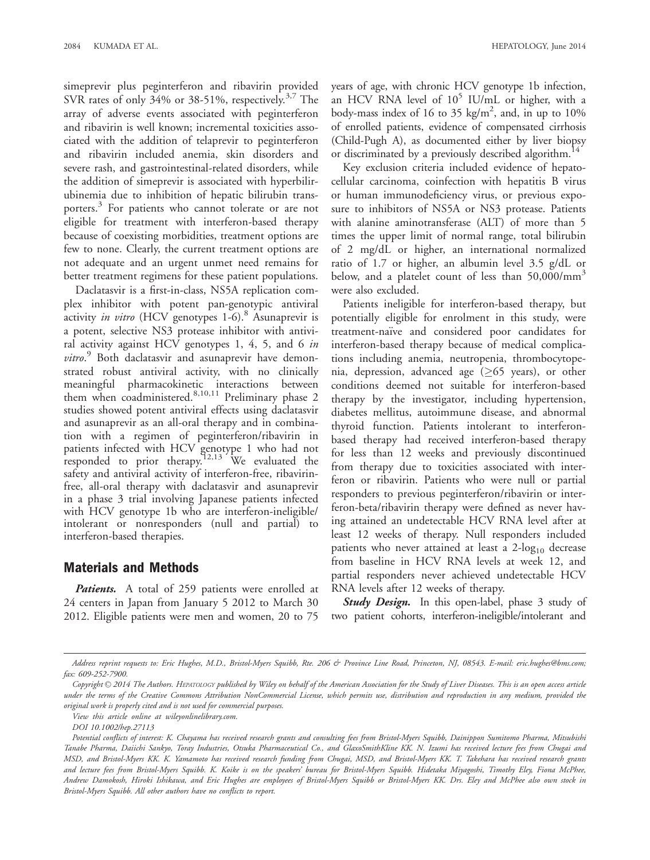simeprevir plus peginterferon and ribavirin provided SVR rates of only 34% or 38-51%, respectively.<sup>3,7</sup> The array of adverse events associated with peginterferon and ribavirin is well known; incremental toxicities associated with the addition of telaprevir to peginterferon and ribavirin included anemia, skin disorders and severe rash, and gastrointestinal-related disorders, while the addition of simeprevir is associated with hyperbilirubinemia due to inhibition of hepatic bilirubin transporters.<sup>3</sup> For patients who cannot tolerate or are not eligible for treatment with interferon-based therapy because of coexisting morbidities, treatment options are few to none. Clearly, the current treatment options are not adequate and an urgent unmet need remains for better treatment regimens for these patient populations.

Daclatasvir is a first-in-class, NS5A replication complex inhibitor with potent pan-genotypic antiviral activity in vitro (HCV genotypes 1-6).<sup>8</sup> Asunaprevir is a potent, selective NS3 protease inhibitor with antiviral activity against HCV genotypes 1, 4, 5, and 6 in vitro.<sup>9</sup> Both daclatasvir and asunaprevir have demonstrated robust antiviral activity, with no clinically meaningful pharmacokinetic interactions between them when coadministered.<sup>8,10,11</sup> Preliminary phase 2 studies showed potent antiviral effects using daclatasvir and asunaprevir as an all-oral therapy and in combination with a regimen of peginterferon/ribavirin in patients infected with HCV genotype 1 who had not responded to prior therapy.<sup>12,13</sup> We evaluated the safety and antiviral activity of interferon-free, ribavirinfree, all-oral therapy with daclatasvir and asunaprevir in a phase 3 trial involving Japanese patients infected with HCV genotype 1b who are interferon-ineligible/ intolerant or nonresponders (null and partial) to interferon-based therapies.

## Materials and Methods

Patients. A total of 259 patients were enrolled at 24 centers in Japan from January 5 2012 to March 30 2012. Eligible patients were men and women, 20 to 75

Key exclusion criteria included evidence of hepatocellular carcinoma, coinfection with hepatitis B virus or human immunodeficiency virus, or previous exposure to inhibitors of NS5A or NS3 protease. Patients with alanine aminotransferase (ALT) of more than 5 times the upper limit of normal range, total bilirubin of 2 mg/dL or higher, an international normalized ratio of 1.7 or higher, an albumin level 3.5 g/dL or below, and a platelet count of less than  $50,000/\text{mm}^3$ were also excluded.

Patients ineligible for interferon-based therapy, but potentially eligible for enrolment in this study, were treatment-naïve and considered poor candidates for interferon-based therapy because of medical complications including anemia, neutropenia, thrombocytopenia, depression, advanced age ( $\geq$ 65 years), or other conditions deemed not suitable for interferon-based therapy by the investigator, including hypertension, diabetes mellitus, autoimmune disease, and abnormal thyroid function. Patients intolerant to interferonbased therapy had received interferon-based therapy for less than 12 weeks and previously discontinued from therapy due to toxicities associated with interferon or ribavirin. Patients who were null or partial responders to previous peginterferon/ribavirin or interferon-beta/ribavirin therapy were defined as never having attained an undetectable HCV RNA level after at least 12 weeks of therapy. Null responders included patients who never attained at least a  $2\text{-log}_{10}$  decrease from baseline in HCV RNA levels at week 12, and partial responders never achieved undetectable HCV RNA levels after 12 weeks of therapy.

Study Design. In this open-label, phase 3 study of two patient cohorts, interferon-ineligible/intolerant and

Address reprint requests to: Eric Hughes, M.D., Bristol-Myers Squibb, Rte. 206 & Province Line Road, Princeton, NJ, 08543. E-mail: eric.hughes@bms.com; fax: 609-252-7900.

Copyright  $\odot$  2014 The Authors. HEPATOLOGY published by Wiley on behalf of the American Association for the Study of Liver Diseases. This is an open access article under the terms of the Creative Commons Attribution NonCommercial License, which permits use, distribution and reproduction in any medium, provided the original work is properly cited and is not used for commercial purposes.

View this article online at wileyonlinelibrary.com.

DOI 10.1002/hep.27113

Potential conflicts of interest: K. Chayama has received research grants and consulting fees from Bristol-Myers Squibb, Dainippon Sumitomo Pharma, Mitsubishi Tanabe Pharma, Daiichi Sankyo, Toray Industries, Otsuka Pharmaceutical Co., and GlaxoSmithKline KK. N. Izumi has received lecture fees from Chugai and MSD, and Bristol-Myers KK. K. Yamamoto has received research funding from Chugai, MSD, and Bristol-Myers KK. T. Takehara has received research grants and lecture fees from Bristol-Myers Squibb. K. Koike is on the speakers' bureau for Bristol-Myers Squibb. Hidetaka Miyagoshi, Timothy Eley, Fiona McPhee, Andrew Damokosh, Hiroki Ishikawa, and Eric Hughes are employees of Bristol-Myers Squibb or Bristol-Myers KK. Drs. Eley and McPhee also own stock in Bristol-Myers Squibb. All other authors have no conflicts to report.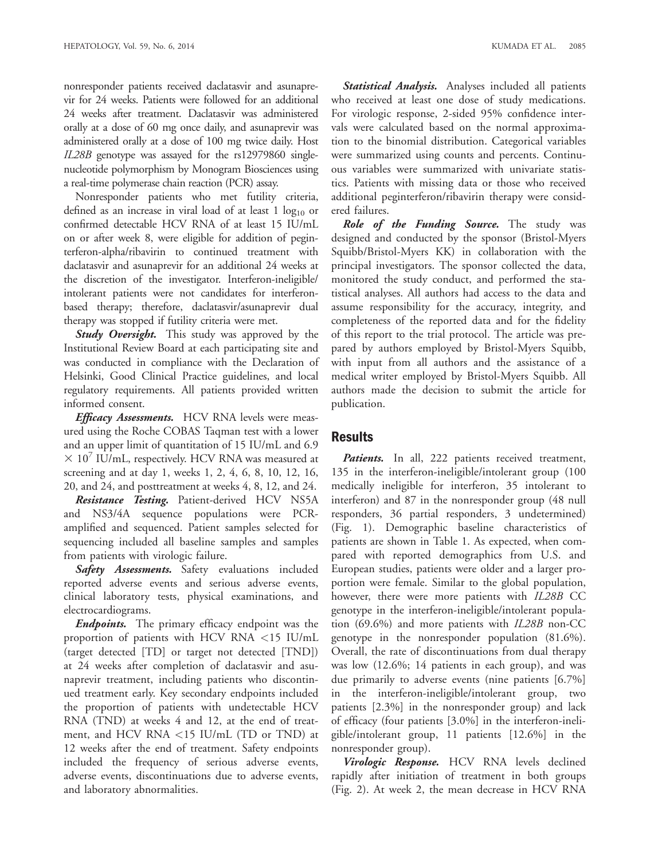nonresponder patients received daclatasvir and asunaprevir for 24 weeks. Patients were followed for an additional 24 weeks after treatment. Daclatasvir was administered orally at a dose of 60 mg once daily, and asunaprevir was administered orally at a dose of 100 mg twice daily. Host IL28B genotype was assayed for the rs12979860 singlenucleotide polymorphism by Monogram Biosciences using a real-time polymerase chain reaction (PCR) assay.

Nonresponder patients who met futility criteria, defined as an increase in viral load of at least  $1 \log_{10}$  or confirmed detectable HCV RNA of at least 15 IU/mL on or after week 8, were eligible for addition of peginterferon-alpha/ribavirin to continued treatment with daclatasvir and asunaprevir for an additional 24 weeks at the discretion of the investigator. Interferon-ineligible/ intolerant patients were not candidates for interferonbased therapy; therefore, daclatasvir/asunaprevir dual therapy was stopped if futility criteria were met.

**Study Oversight.** This study was approved by the Institutional Review Board at each participating site and was conducted in compliance with the Declaration of Helsinki, Good Clinical Practice guidelines, and local regulatory requirements. All patients provided written informed consent.

Efficacy Assessments. HCV RNA levels were measured using the Roche COBAS Taqman test with a lower and an upper limit of quantitation of 15 IU/mL and 6.9  $3 \times 10^{7}$  IU/mL, respectively. HCV RNA was measured at screening and at day 1, weeks 1, 2, 4, 6, 8, 10, 12, 16, 20, and 24, and posttreatment at weeks 4, 8, 12, and 24.

Resistance Testing. Patient-derived HCV NS5A and NS3/4A sequence populations were PCRamplified and sequenced. Patient samples selected for sequencing included all baseline samples and samples from patients with virologic failure.

Safety Assessments. Safety evaluations included reported adverse events and serious adverse events, clinical laboratory tests, physical examinations, and electrocardiograms.

**Endpoints.** The primary efficacy endpoint was the proportion of patients with HCV RNA <15 IU/mL (target detected [TD] or target not detected [TND]) at 24 weeks after completion of daclatasvir and asunaprevir treatment, including patients who discontinued treatment early. Key secondary endpoints included the proportion of patients with undetectable HCV RNA (TND) at weeks 4 and 12, at the end of treatment, and HCV RNA <15 IU/mL (TD or TND) at 12 weeks after the end of treatment. Safety endpoints included the frequency of serious adverse events, adverse events, discontinuations due to adverse events, and laboratory abnormalities.

Statistical Analysis. Analyses included all patients who received at least one dose of study medications. For virologic response, 2-sided 95% confidence intervals were calculated based on the normal approximation to the binomial distribution. Categorical variables were summarized using counts and percents. Continuous variables were summarized with univariate statistics. Patients with missing data or those who received additional peginterferon/ribavirin therapy were considered failures.

Role of the Funding Source. The study was designed and conducted by the sponsor (Bristol-Myers Squibb/Bristol-Myers KK) in collaboration with the principal investigators. The sponsor collected the data, monitored the study conduct, and performed the statistical analyses. All authors had access to the data and assume responsibility for the accuracy, integrity, and completeness of the reported data and for the fidelity of this report to the trial protocol. The article was prepared by authors employed by Bristol-Myers Squibb, with input from all authors and the assistance of a medical writer employed by Bristol-Myers Squibb. All authors made the decision to submit the article for publication.

## Results

Patients. In all, 222 patients received treatment, 135 in the interferon-ineligible/intolerant group (100 medically ineligible for interferon, 35 intolerant to interferon) and 87 in the nonresponder group (48 null responders, 36 partial responders, 3 undetermined) (Fig. 1). Demographic baseline characteristics of patients are shown in Table 1. As expected, when compared with reported demographics from U.S. and European studies, patients were older and a larger proportion were female. Similar to the global population, however, there were more patients with *IL28B* CC genotype in the interferon-ineligible/intolerant population (69.6%) and more patients with IL28B non-CC genotype in the nonresponder population (81.6%). Overall, the rate of discontinuations from dual therapy was low (12.6%; 14 patients in each group), and was due primarily to adverse events (nine patients [6.7%] in the interferon-ineligible/intolerant group, two patients [2.3%] in the nonresponder group) and lack of efficacy (four patients [3.0%] in the interferon-ineligible/intolerant group, 11 patients [12.6%] in the nonresponder group).

Virologic Response. HCV RNA levels declined rapidly after initiation of treatment in both groups (Fig. 2). At week 2, the mean decrease in HCV RNA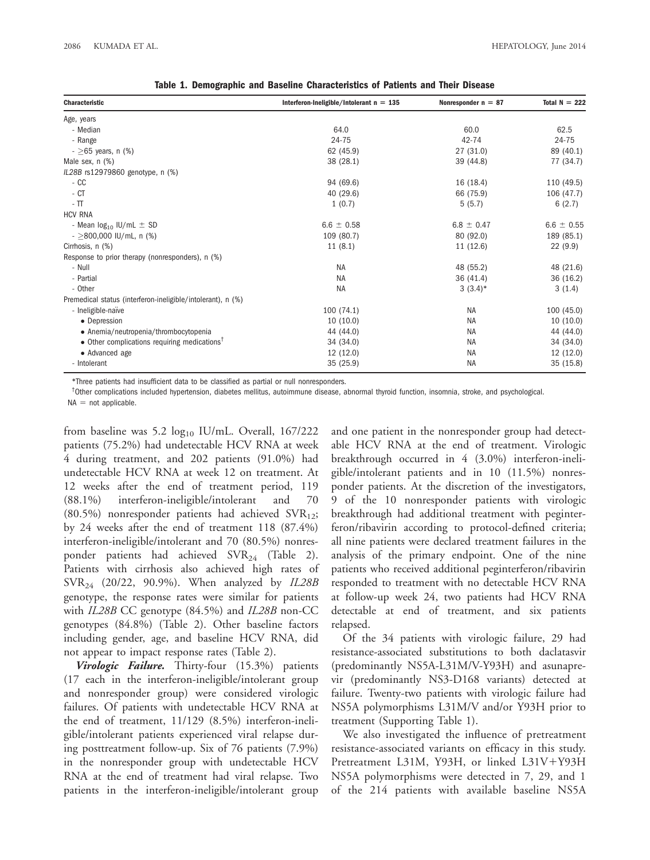| <b>Characteristic</b>                                       | Interferon-Ineligible/Intolerant $n = 135$ | Nonresponder $n = 87$ | Total $N = 222$ |
|-------------------------------------------------------------|--------------------------------------------|-----------------------|-----------------|
| Age, years                                                  |                                            |                       |                 |
| - Median                                                    | 64.0                                       | 60.0                  | 62.5            |
| - Range                                                     | 24-75                                      | 42-74                 | 24-75           |
| $-$ >65 years, n (%)                                        | 62 (45.9)                                  | 27 (31.0)             | 89 (40.1)       |
| Male sex, n (%)                                             | 38 (28.1)                                  | 39 (44.8)             | 77 (34.7)       |
| IL28B rs12979860 genotype, n (%)                            |                                            |                       |                 |
| $-CC$                                                       | 94 (69.6)                                  | 16 (18.4)             | 110 (49.5)      |
| $-CT$                                                       | 40 (29.6)                                  | 66 (75.9)             | 106 (47.7)      |
| $ \Pi$                                                      | 1(0.7)                                     | 5(5.7)                | 6(2.7)          |
| <b>HCV RNA</b>                                              |                                            |                       |                 |
| - Mean $log_{10}$ IU/mL $\pm$ SD                            | $6.6 \pm 0.58$                             | $6.8 \pm 0.47$        | $6.6 \pm 0.55$  |
| $-$ >800,000 IU/mL, n (%)                                   | 109 (80.7)                                 | 80 (92.0)             | 189 (85.1)      |
| Cirrhosis, n (%)                                            | 11(8.1)                                    | 11 (12.6)             | 22(9.9)         |
| Response to prior therapy (nonresponders), n (%)            |                                            |                       |                 |
| - Null                                                      | <b>NA</b>                                  | 48 (55.2)             | 48 (21.6)       |
| - Partial                                                   | <b>NA</b>                                  | 36 (41.4)             | 36 (16.2)       |
| - Other                                                     | <b>NA</b>                                  | $3(3.4)$ *            | 3(1.4)          |
| Premedical status (interferon-ineligible/intolerant), n (%) |                                            |                       |                 |
| - Ineligible-naïve                                          | 100 (74.1)                                 | <b>NA</b>             | 100(45.0)       |
| • Depression                                                | 10(10.0)                                   | <b>NA</b>             | 10(10.0)        |
| • Anemia/neutropenia/thrombocytopenia                       | 44 (44.0)                                  | <b>NA</b>             | 44 (44.0)       |
| • Other complications requiring medications <sup>†</sup>    | 34 (34.0)                                  | <b>NA</b>             | 34 (34.0)       |
| • Advanced age                                              | 12 (12.0)                                  | <b>NA</b>             | 12(12.0)        |
| - Intolerant                                                | 35 (25.9)                                  | NA                    | 35 (15.8)       |

Table 1. Demographic and Baseline Characteristics of Patients and Their Disease

\*Three patients had insufficient data to be classified as partial or null nonresponders.

<sup>†</sup>Other complications included hypertension, diabetes mellitus, autoimmune disease, abnormal thyroid function, insomnia, stroke, and psychological.  $NA = not applicable.$ 

from baseline was 5.2  $log_{10}$  IU/mL. Overall, 167/222 patients (75.2%) had undetectable HCV RNA at week 4 during treatment, and 202 patients (91.0%) had undetectable HCV RNA at week 12 on treatment. At 12 weeks after the end of treatment period, 119 (88.1%) interferon-ineligible/intolerant and 70 (80.5%) nonresponder patients had achieved  $\text{SVR}_{12}$ ; by 24 weeks after the end of treatment 118 (87.4%) interferon-ineligible/intolerant and 70 (80.5%) nonresponder patients had achieved  $SVR_{24}$  (Table 2). Patients with cirrhosis also achieved high rates of  $\text{SVR}_{24}$  (20/22, 90.9%). When analyzed by IL28B genotype, the response rates were similar for patients with IL28B CC genotype (84.5%) and IL28B non-CC genotypes (84.8%) (Table 2). Other baseline factors including gender, age, and baseline HCV RNA, did not appear to impact response rates (Table 2).

Virologic Failure. Thirty-four (15.3%) patients (17 each in the interferon-ineligible/intolerant group and nonresponder group) were considered virologic failures. Of patients with undetectable HCV RNA at the end of treatment, 11/129 (8.5%) interferon-ineligible/intolerant patients experienced viral relapse during posttreatment follow-up. Six of 76 patients (7.9%) in the nonresponder group with undetectable HCV RNA at the end of treatment had viral relapse. Two patients in the interferon-ineligible/intolerant group

and one patient in the nonresponder group had detectable HCV RNA at the end of treatment. Virologic breakthrough occurred in 4 (3.0%) interferon-ineligible/intolerant patients and in 10 (11.5%) nonresponder patients. At the discretion of the investigators, 9 of the 10 nonresponder patients with virologic breakthrough had additional treatment with peginterferon/ribavirin according to protocol-defined criteria; all nine patients were declared treatment failures in the analysis of the primary endpoint. One of the nine patients who received additional peginterferon/ribavirin responded to treatment with no detectable HCV RNA at follow-up week 24, two patients had HCV RNA detectable at end of treatment, and six patients relapsed.

Of the 34 patients with virologic failure, 29 had resistance-associated substitutions to both daclatasvir (predominantly NS5A-L31M/V-Y93H) and asunaprevir (predominantly NS3-D168 variants) detected at failure. Twenty-two patients with virologic failure had NS5A polymorphisms L31M/V and/or Y93H prior to treatment (Supporting Table 1).

We also investigated the influence of pretreatment resistance-associated variants on efficacy in this study. Pretreatment L31M, Y93H, or linked L31V+Y93H NS5A polymorphisms were detected in 7, 29, and 1 of the 214 patients with available baseline NS5A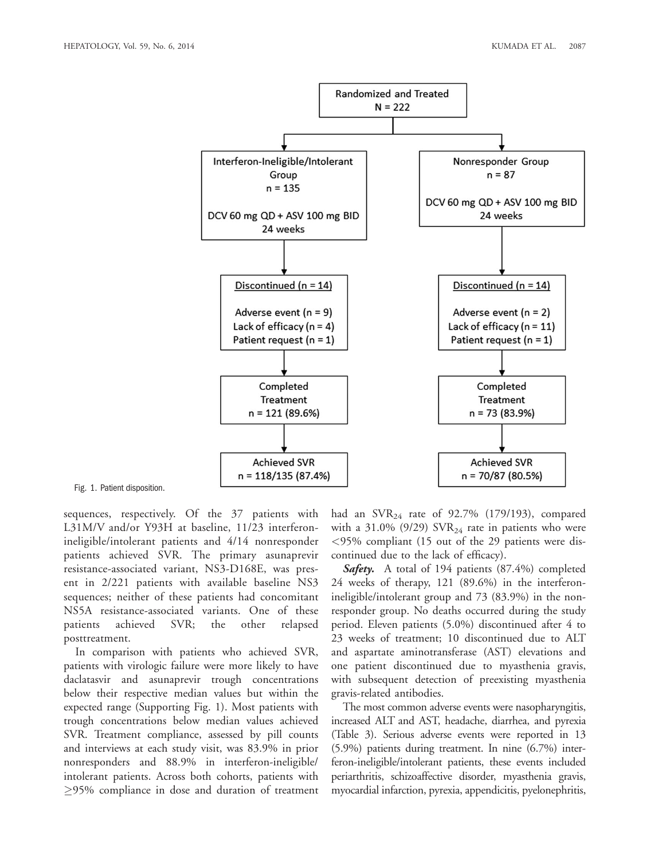

#### Fig. 1. Patient disposition.

sequences, respectively. Of the 37 patients with L31M/V and/or Y93H at baseline, 11/23 interferonineligible/intolerant patients and 4/14 nonresponder patients achieved SVR. The primary asunaprevir resistance-associated variant, NS3-D168E, was present in 2/221 patients with available baseline NS3 sequences; neither of these patients had concomitant NS5A resistance-associated variants. One of these patients achieved SVR; the other relapsed posttreatment.

In comparison with patients who achieved SVR, patients with virologic failure were more likely to have daclatasvir and asunaprevir trough concentrations below their respective median values but within the expected range (Supporting Fig. 1). Most patients with trough concentrations below median values achieved SVR. Treatment compliance, assessed by pill counts and interviews at each study visit, was 83.9% in prior nonresponders and 88.9% in interferon-ineligible/ intolerant patients. Across both cohorts, patients with -95% compliance in dose and duration of treatment

had an  $\text{SVR}_{24}$  rate of 92.7% (179/193), compared with a 31.0% (9/29)  $\text{SVR}_{24}$  rate in patients who were <95% compliant (15 out of the 29 patients were discontinued due to the lack of efficacy).

**Safety.** A total of 194 patients  $(87.4\%)$  completed 24 weeks of therapy, 121 (89.6%) in the interferonineligible/intolerant group and 73 (83.9%) in the nonresponder group. No deaths occurred during the study period. Eleven patients (5.0%) discontinued after 4 to 23 weeks of treatment; 10 discontinued due to ALT and aspartate aminotransferase (AST) elevations and one patient discontinued due to myasthenia gravis, with subsequent detection of preexisting myasthenia gravis-related antibodies.

The most common adverse events were nasopharyngitis, increased ALT and AST, headache, diarrhea, and pyrexia (Table 3). Serious adverse events were reported in 13 (5.9%) patients during treatment. In nine (6.7%) interferon-ineligible/intolerant patients, these events included periarthritis, schizoaffective disorder, myasthenia gravis, myocardial infarction, pyrexia, appendicitis, pyelonephritis,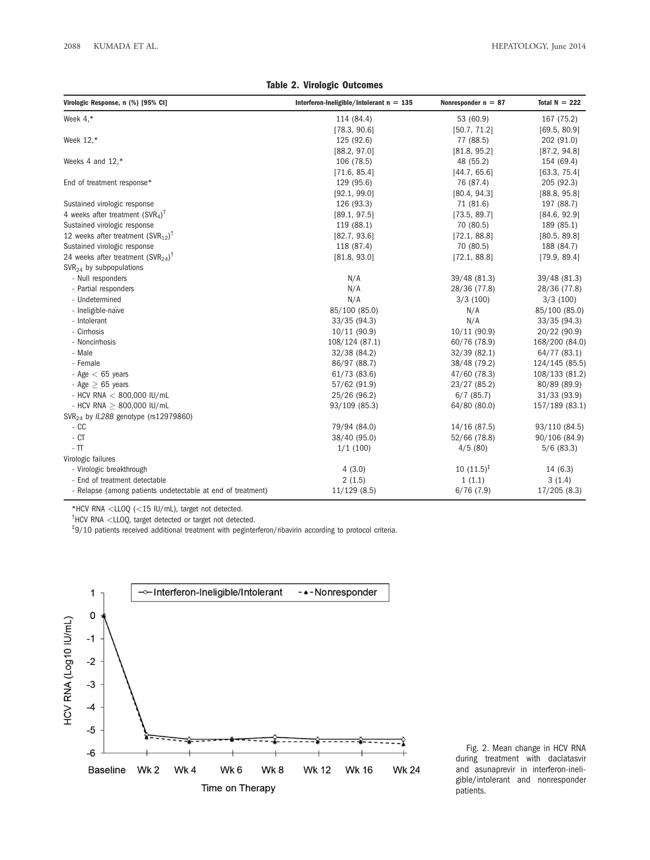|  |  | Table 2. Virologic Outcomes |
|--|--|-----------------------------|
|--|--|-----------------------------|

| Virologic Response, n (%) [95% CI]                          | Interferon-Ineligible/Intolerant $n = 135$ | Nonresponder $n = 87$ | Total $N = 222$ |
|-------------------------------------------------------------|--------------------------------------------|-----------------------|-----------------|
| Week $4,*$                                                  | 114 (84.4)                                 | 53 (60.9)             | 167 (75.2)      |
|                                                             | [78.3, 90.6]                               | [50.7, 71.2]          | [69.5, 80.9]    |
| Week 12,*                                                   | 125 (92.6)                                 | 77 (88.5)             | 202 (91.0)      |
|                                                             | [88.2, 97.0]                               | [81.8, 95.2]          | [87.2, 94.8]    |
| Weeks 4 and 12.*                                            | 106 (78.5)                                 | 48 (55.2)             | 154 (69.4)      |
|                                                             | [71.6, 85.4]                               | [44.7, 65.6]          | [63.3, 75.4]    |
| End of treatment response*                                  | 129 (95.6)                                 | 76 (87.4)             | 205 (92.3)      |
|                                                             | [92.1, 99.0]                               | [80.4, 94.3]          | [88.8, 95.8]    |
| Sustained virologic response                                | 126 (93.3)                                 | 71 (81.6)             | 197 (88.7)      |
| 4 weeks after treatment $(SVR4)\dagger$                     | [89.1, 97.5]                               | [73.5, 89.7]          | [84.6, 92.9]    |
| Sustained virologic response                                | 119 (88.1)                                 | 70 (80.5)             | 189 (85.1)      |
| 12 weeks after treatment $(SVR_{12})^{\dagger}$             | [82.7, 93.6]                               | [72.1, 88.8]          | [80.5, 89.8]    |
| Sustained virologic response                                | 118 (87.4)                                 | 70 (80.5)             | 188 (84.7)      |
| 24 weeks after treatment $(SVR_{24})^{\dagger}$             | [81.8, 93.0]                               | [72.1, 88.8]          | [79.9, 89.4]    |
| $SVR24$ by subpopulations                                   |                                            |                       |                 |
| - Null responders                                           | N/A                                        | 39/48 (81.3)          | 39/48 (81.3)    |
| - Partial responders                                        | N/A                                        | 28/36 (77.8)          | 28/36 (77.8)    |
| - Undetermined                                              | N/A                                        | 3/3(100)              | 3/3(100)        |
| - Ineligible-naïve                                          | 85/100 (85.0)                              | N/A                   | 85/100 (85.0)   |
| - Intolerant                                                | 33/35(94.3)                                | N/A                   | 33/35(94.3)     |
| - Cirrhosis                                                 | 10/11(90.9)                                | 10/11(90.9)           | 20/22 (90.9)    |
| - Noncirrhosis                                              | 108/124 (87.1)                             | 60/76 (78.9)          | 168/200 (84.0)  |
| - Male                                                      | 32/38 (84.2)                               | 32/39(82.1)           | 64/77 (83.1)    |
| - Female                                                    | 86/97 (88.7)                               | 38/48 (79.2)          | 124/145 (85.5)  |
| - Age $<$ 65 years                                          | 61/73 (83.6)                               | 47/60 (78.3)          | 108/133 (81.2)  |
| - Age $> 65$ years                                          | 57/62 (91.9)                               | 23/27 (85.2)          | 80/89 (89.9)    |
| - HCV RNA $<$ 800,000 IU/mL                                 | 25/26 (96.2)                               | $6/7$ (85.7)          | 31/33(93.9)     |
| - HCV RNA $> 800,000$ IU/mL                                 | 93/109 (85.3)                              | 64/80 (80.0)          | 157/189 (83.1)  |
| SVR <sub>24</sub> by IL28B genotype (rs12979860)            |                                            |                       |                 |
| $-CC$                                                       | 79/94 (84.0)                               | 14/16 (87.5)          | 93/110 (84.5)   |
| $-CT$                                                       | 38/40 (95.0)                               | 52/66 (78.8)          | 90/106 (84.9)   |
| $-$ TT                                                      | 1/1(100)                                   | 4/5(80)               | $5/6$ (83.3)    |
| Virologic failures                                          |                                            |                       |                 |
| - Virologic breakthrough                                    | 4(3.0)                                     | $10(11.5)^{\ddagger}$ | 14 (6.3)        |
| - End of treatment detectable                               | 2(1.5)                                     | 1(1.1)                | 3(1.4)          |
| - Relapse (among patients undetectable at end of treatment) | 11/129(8.5)                                | 6/76(7.9)             | 17/205(8.3)     |

 $*$ HCV RNA <LLOQ (<15 IU/mL), target not detected.

 $^{\dagger}$ HCV RNA <LLOQ, target detected or target not detected.

<sup>‡</sup>9/10 patients received additional treatment with peginterferon/ribavirin according to protocol criteria.



Fig. 2. Mean change in HCV RNA during treatment with daclatasvir and asunaprevir in interferon-ineligible/intolerant and nonresponder patients.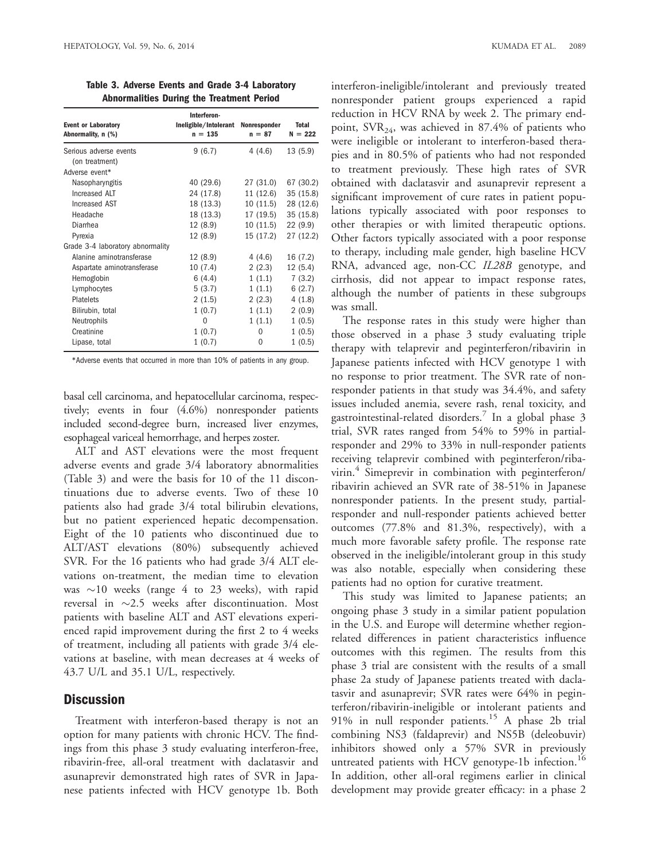| <b>Event or Laboratory</b><br>Abnormality, n (%) | Interferon-<br>Ineligible/Intolerant<br>$n = 135$ | Nonresponder<br>$n = 87$ | <b>Total</b><br>$N = 222$ |
|--------------------------------------------------|---------------------------------------------------|--------------------------|---------------------------|
| Serious adverse events                           | 9(6.7)                                            | 4(4.6)                   | 13(5.9)                   |
| (on treatment)                                   |                                                   |                          |                           |
| Adverse event*                                   |                                                   |                          |                           |
| Nasopharyngitis                                  | 40 (29.6)                                         | 27 (31.0)                | 67 (30.2)                 |
| Increased ALT                                    | 24 (17.8)                                         | 11 (12.6)                | 35 (15.8)                 |
| Increased AST                                    | 18 (13.3)                                         | 10 (11.5)                | 28 (12.6)                 |
| Headache                                         | 18 (13.3)                                         | 17 (19.5)                | 35 (15.8)                 |
| Diarrhea                                         | 12 (8.9)                                          | 10 (11.5)                | 22(9.9)                   |
| Pyrexia                                          | 12 (8.9)                                          | 15 (17.2)                | 27 (12.2)                 |
| Grade 3-4 laboratory abnormality                 |                                                   |                          |                           |
| Alanine aminotransferase                         | 12 (8.9)                                          | 4 (4.6)                  | 16 (7.2)                  |
| Aspartate aminotransferase                       | 10 (7.4)                                          | 2(2.3)                   | 12(5.4)                   |
| Hemoglobin                                       | 6(4.4)                                            | 1(1.1)                   | 7(3.2)                    |
| Lymphocytes                                      | 5(3.7)                                            | 1(1.1)                   | 6(2.7)                    |
| <b>Platelets</b>                                 | 2(1.5)                                            | 2(2.3)                   | 4(1.8)                    |
| Bilirubin, total                                 | 1(0.7)                                            | 1(1.1)                   | 2(0.9)                    |
| Neutrophils                                      | $\Omega$                                          | 1(1.1)                   | 1(0.5)                    |
| Creatinine                                       | 1(0.7)                                            | 0                        | 1(0.5)                    |
| Lipase, total                                    | 1(0.7)                                            | $\Omega$                 | 1(0.5)                    |

Table 3. Adverse Events and Grade 3-4 Laboratory Abnormalities During the Treatment Period

\*Adverse events that occurred in more than 10% of patients in any group.

basal cell carcinoma, and hepatocellular carcinoma, respectively; events in four (4.6%) nonresponder patients included second-degree burn, increased liver enzymes, esophageal variceal hemorrhage, and herpes zoster.

ALT and AST elevations were the most frequent adverse events and grade 3/4 laboratory abnormalities (Table 3) and were the basis for 10 of the 11 discontinuations due to adverse events. Two of these 10 patients also had grade 3/4 total bilirubin elevations, but no patient experienced hepatic decompensation. Eight of the 10 patients who discontinued due to ALT/AST elevations (80%) subsequently achieved SVR. For the 16 patients who had grade 3/4 ALT elevations on-treatment, the median time to elevation was  $\sim$ 10 weeks (range 4 to 23 weeks), with rapid reversal in  $\sim$ 2.5 weeks after discontinuation. Most patients with baseline ALT and AST elevations experienced rapid improvement during the first 2 to 4 weeks of treatment, including all patients with grade 3/4 elevations at baseline, with mean decreases at 4 weeks of 43.7 U/L and 35.1 U/L, respectively.

### **Discussion**

Treatment with interferon-based therapy is not an option for many patients with chronic HCV. The findings from this phase 3 study evaluating interferon-free, ribavirin-free, all-oral treatment with daclatasvir and asunaprevir demonstrated high rates of SVR in Japanese patients infected with HCV genotype 1b. Both interferon-ineligible/intolerant and previously treated nonresponder patient groups experienced a rapid reduction in HCV RNA by week 2. The primary endpoint,  $\text{SVR}_{24}$ , was achieved in 87.4% of patients who were ineligible or intolerant to interferon-based therapies and in 80.5% of patients who had not responded to treatment previously. These high rates of SVR obtained with daclatasvir and asunaprevir represent a significant improvement of cure rates in patient populations typically associated with poor responses to other therapies or with limited therapeutic options. Other factors typically associated with a poor response to therapy, including male gender, high baseline HCV RNA, advanced age, non-CC IL28B genotype, and cirrhosis, did not appear to impact response rates, although the number of patients in these subgroups was small.

The response rates in this study were higher than those observed in a phase 3 study evaluating triple therapy with telaprevir and peginterferon/ribavirin in Japanese patients infected with HCV genotype 1 with no response to prior treatment. The SVR rate of nonresponder patients in that study was 34.4%, and safety issues included anemia, severe rash, renal toxicity, and gastrointestinal-related disorders.<sup>7</sup> In a global phase 3 trial, SVR rates ranged from 54% to 59% in partialresponder and 29% to 33% in null-responder patients receiving telaprevir combined with peginterferon/ribavirin.<sup>4</sup> Simeprevir in combination with peginterferon/ ribavirin achieved an SVR rate of 38-51% in Japanese nonresponder patients. In the present study, partialresponder and null-responder patients achieved better outcomes (77.8% and 81.3%, respectively), with a much more favorable safety profile. The response rate observed in the ineligible/intolerant group in this study was also notable, especially when considering these patients had no option for curative treatment.

This study was limited to Japanese patients; an ongoing phase 3 study in a similar patient population in the U.S. and Europe will determine whether regionrelated differences in patient characteristics influence outcomes with this regimen. The results from this phase 3 trial are consistent with the results of a small phase 2a study of Japanese patients treated with daclatasvir and asunaprevir; SVR rates were 64% in peginterferon/ribavirin-ineligible or intolerant patients and 91% in null responder patients.<sup>15</sup> A phase 2b trial combining NS3 (faldaprevir) and NS5B (deleobuvir) inhibitors showed only a 57% SVR in previously untreated patients with HCV genotype-1b infection.<sup>16</sup> In addition, other all-oral regimens earlier in clinical development may provide greater efficacy: in a phase 2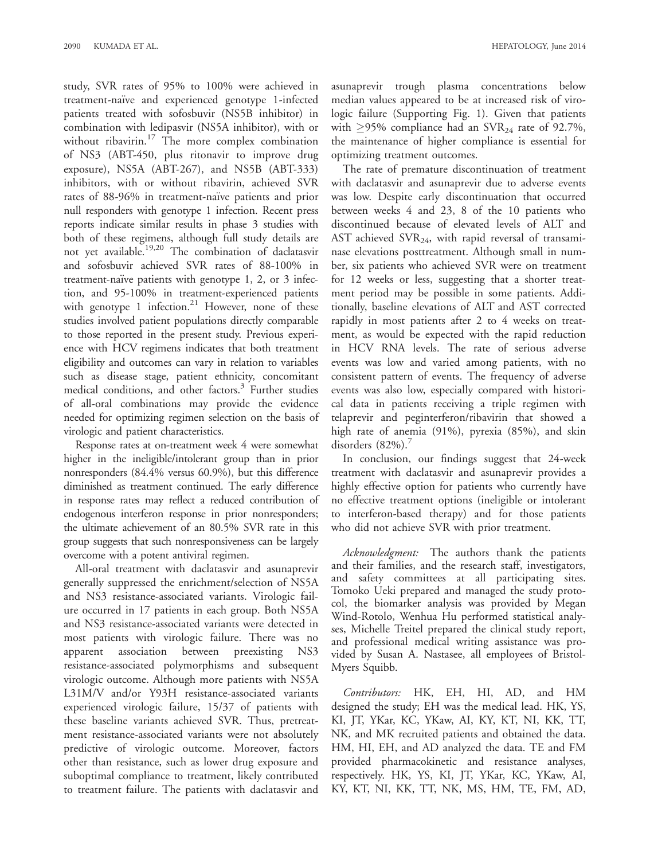study, SVR rates of 95% to 100% were achieved in treatment-naïve and experienced genotype 1-infected patients treated with sofosbuvir (NS5B inhibitor) in combination with ledipasvir (NS5A inhibitor), with or without ribavirin. $17$  The more complex combination of NS3 (ABT-450, plus ritonavir to improve drug exposure), NS5A (ABT-267), and NS5B (ABT-333) inhibitors, with or without ribavirin, achieved SVR rates of 88-96% in treatment-naïve patients and prior null responders with genotype 1 infection. Recent press reports indicate similar results in phase 3 studies with both of these regimens, although full study details are not yet available.19,20 The combination of daclatasvir and sofosbuvir achieved SVR rates of 88-100% in treatment-naïve patients with genotype 1, 2, or 3 infection, and 95-100% in treatment-experienced patients with genotype 1 infection. $21$  However, none of these studies involved patient populations directly comparable to those reported in the present study. Previous experience with HCV regimens indicates that both treatment eligibility and outcomes can vary in relation to variables such as disease stage, patient ethnicity, concomitant medical conditions, and other factors.<sup>3</sup> Further studies of all-oral combinations may provide the evidence needed for optimizing regimen selection on the basis of virologic and patient characteristics.

Response rates at on-treatment week 4 were somewhat higher in the ineligible/intolerant group than in prior nonresponders (84.4% versus 60.9%), but this difference diminished as treatment continued. The early difference in response rates may reflect a reduced contribution of endogenous interferon response in prior nonresponders; the ultimate achievement of an 80.5% SVR rate in this group suggests that such nonresponsiveness can be largely overcome with a potent antiviral regimen.

All-oral treatment with daclatasvir and asunaprevir generally suppressed the enrichment/selection of NS5A and NS3 resistance-associated variants. Virologic failure occurred in 17 patients in each group. Both NS5A and NS3 resistance-associated variants were detected in most patients with virologic failure. There was no apparent association between preexisting NS3 resistance-associated polymorphisms and subsequent virologic outcome. Although more patients with NS5A L31M/V and/or Y93H resistance-associated variants experienced virologic failure, 15/37 of patients with these baseline variants achieved SVR. Thus, pretreatment resistance-associated variants were not absolutely predictive of virologic outcome. Moreover, factors other than resistance, such as lower drug exposure and suboptimal compliance to treatment, likely contributed to treatment failure. The patients with daclatasvir and

asunaprevir trough plasma concentrations below median values appeared to be at increased risk of virologic failure (Supporting Fig. 1). Given that patients with  $\geq$ 95% compliance had an SVR<sub>24</sub> rate of 92.7%, the maintenance of higher compliance is essential for optimizing treatment outcomes.

The rate of premature discontinuation of treatment with daclatasvir and asunaprevir due to adverse events was low. Despite early discontinuation that occurred between weeks 4 and 23, 8 of the 10 patients who discontinued because of elevated levels of ALT and AST achieved  $\text{SVR}_{24}$ , with rapid reversal of transaminase elevations posttreatment. Although small in number, six patients who achieved SVR were on treatment for 12 weeks or less, suggesting that a shorter treatment period may be possible in some patients. Additionally, baseline elevations of ALT and AST corrected rapidly in most patients after 2 to 4 weeks on treatment, as would be expected with the rapid reduction in HCV RNA levels. The rate of serious adverse events was low and varied among patients, with no consistent pattern of events. The frequency of adverse events was also low, especially compared with historical data in patients receiving a triple regimen with telaprevir and peginterferon/ribavirin that showed a high rate of anemia (91%), pyrexia (85%), and skin disorders  $(82\%)$ .

In conclusion, our findings suggest that 24-week treatment with daclatasvir and asunaprevir provides a highly effective option for patients who currently have no effective treatment options (ineligible or intolerant to interferon-based therapy) and for those patients who did not achieve SVR with prior treatment.

Acknowledgment: The authors thank the patients and their families, and the research staff, investigators, and safety committees at all participating sites. Tomoko Ueki prepared and managed the study protocol, the biomarker analysis was provided by Megan Wind-Rotolo, Wenhua Hu performed statistical analyses, Michelle Treitel prepared the clinical study report, and professional medical writing assistance was provided by Susan A. Nastasee, all employees of Bristol-Myers Squibb.

Contributors: HK, EH, HI, AD, and HM designed the study; EH was the medical lead. HK, YS, KI, JT, YKar, KC, YKaw, AI, KY, KT, NI, KK, TT, NK, and MK recruited patients and obtained the data. HM, HI, EH, and AD analyzed the data. TE and FM provided pharmacokinetic and resistance analyses, respectively. HK, YS, KI, JT, YKar, KC, YKaw, AI, KY, KT, NI, KK, TT, NK, MS, HM, TE, FM, AD,